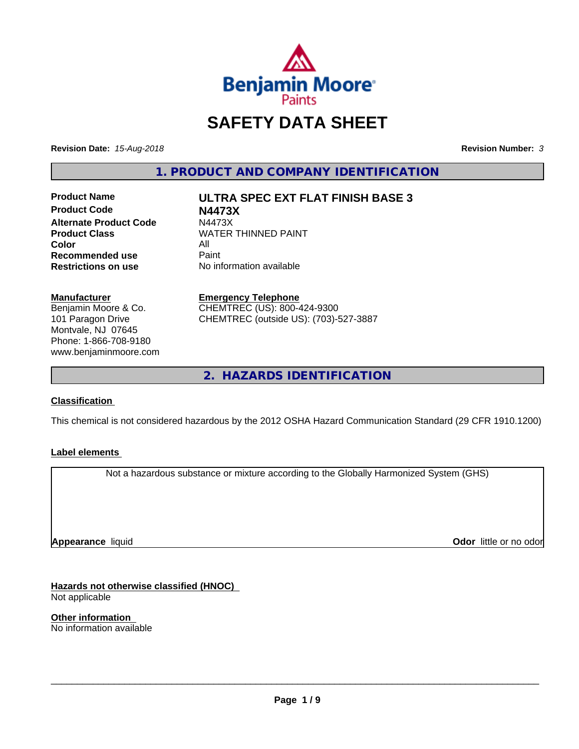

# **SAFETY DATA SHEET**

**Revision Date:** *15-Aug-2018* **Revision Number:** *3*

**1. PRODUCT AND COMPANY IDENTIFICATION**

**Product Name ULTRA SPEC EXT FLAT FINISH BASE 3 Product Code N4473X Alternate Product Code M4473X**<br>Product Class WATER **Color** All<br> **Recommended use** Paint **Recommended use**<br>Restrictions on use

**WATER THINNED PAINT** 

**No information available** 

**Manufacturer**

Benjamin Moore & Co. 101 Paragon Drive Montvale, NJ 07645 Phone: 1-866-708-9180 www.benjaminmoore.com

#### **Emergency Telephone**

CHEMTREC (US): 800-424-9300 CHEMTREC (outside US): (703)-527-3887

**2. HAZARDS IDENTIFICATION**

## **Classification**

This chemical is not considered hazardous by the 2012 OSHA Hazard Communication Standard (29 CFR 1910.1200)

## **Label elements**

Not a hazardous substance or mixture according to the Globally Harmonized System (GHS)

**Appearance** liquid

**Odor** little or no odor

**Hazards not otherwise classified (HNOC)** Not applicable

**Other information** No information available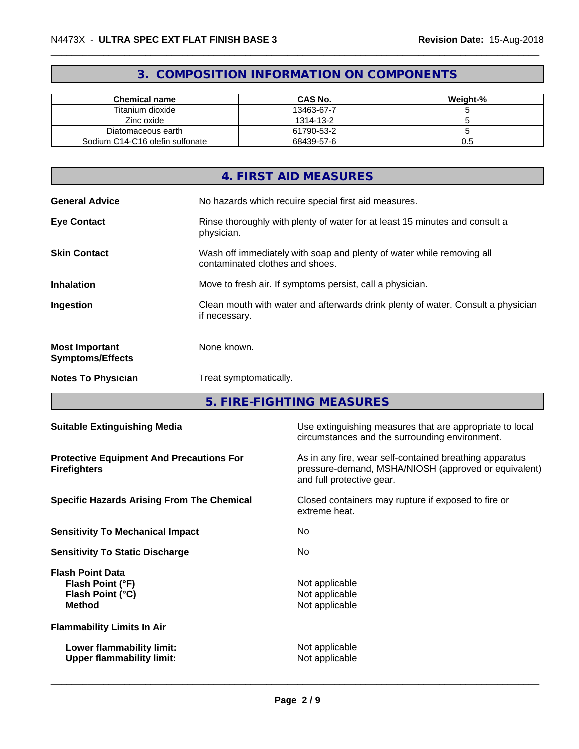# **3. COMPOSITION INFORMATION ON COMPONENTS**

| <b>Chemical name</b>            | <b>CAS No.</b> | Weight-% |
|---------------------------------|----------------|----------|
| Titanium dioxide                | 13463-67-7     |          |
| Zinc oxide                      | 1314-13-2      |          |
| Diatomaceous earth              | 61790-53-2     |          |
| Sodium C14-C16 olefin sulfonate | 68439-57-6     | U.5      |

|                                                  | 4. FIRST AID MEASURES                                                                                    |
|--------------------------------------------------|----------------------------------------------------------------------------------------------------------|
| <b>General Advice</b>                            | No hazards which require special first aid measures.                                                     |
| <b>Eye Contact</b>                               | Rinse thoroughly with plenty of water for at least 15 minutes and consult a<br>physician.                |
| <b>Skin Contact</b>                              | Wash off immediately with soap and plenty of water while removing all<br>contaminated clothes and shoes. |
| <b>Inhalation</b>                                | Move to fresh air. If symptoms persist, call a physician.                                                |
| Ingestion                                        | Clean mouth with water and afterwards drink plenty of water. Consult a physician<br>if necessary.        |
| <b>Most Important</b><br><b>Symptoms/Effects</b> | None known.                                                                                              |
| <b>Notes To Physician</b>                        | Treat symptomatically.                                                                                   |

**5. FIRE-FIGHTING MEASURES**

| <b>Suitable Extinguishing Media</b>                                              | Use extinguishing measures that are appropriate to local<br>circumstances and the surrounding environment.                                   |
|----------------------------------------------------------------------------------|----------------------------------------------------------------------------------------------------------------------------------------------|
| <b>Protective Equipment And Precautions For</b><br><b>Firefighters</b>           | As in any fire, wear self-contained breathing apparatus<br>pressure-demand, MSHA/NIOSH (approved or equivalent)<br>and full protective gear. |
| <b>Specific Hazards Arising From The Chemical</b>                                | Closed containers may rupture if exposed to fire or<br>extreme heat.                                                                         |
| <b>Sensitivity To Mechanical Impact</b>                                          | No                                                                                                                                           |
| <b>Sensitivity To Static Discharge</b>                                           | No.                                                                                                                                          |
| <b>Flash Point Data</b><br>Flash Point (°F)<br>Flash Point (°C)<br><b>Method</b> | Not applicable<br>Not applicable<br>Not applicable                                                                                           |
| <b>Flammability Limits In Air</b>                                                |                                                                                                                                              |
| Lower flammability limit:<br><b>Upper flammability limit:</b>                    | Not applicable<br>Not applicable                                                                                                             |
|                                                                                  |                                                                                                                                              |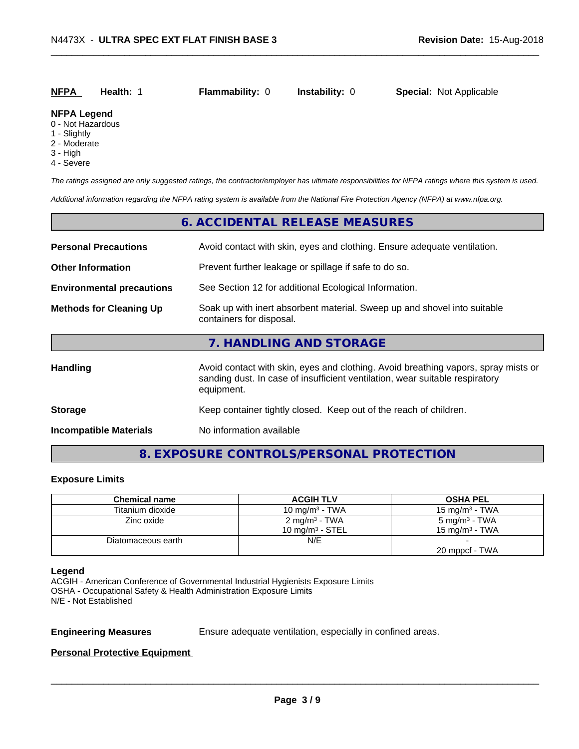| <b>NFPA</b> | Health: 1 | <b>Flammability: 0</b> | <b>Instability: 0</b> | <b>Special: Not Applicable</b> |
|-------------|-----------|------------------------|-----------------------|--------------------------------|
|             |           |                        |                       |                                |

#### **NFPA Legend**

- 0 Not Hazardous
- 1 Slightly
- 2 Moderate
- 3 High
- 4 Severe

*The ratings assigned are only suggested ratings, the contractor/employer has ultimate responsibilities for NFPA ratings where this system is used.*

*Additional information regarding the NFPA rating system is available from the National Fire Protection Agency (NFPA) at www.nfpa.org.*

## **6. ACCIDENTAL RELEASE MEASURES**

| <b>Personal Precautions</b>      | Avoid contact with skin, eyes and clothing. Ensure adequate ventilation.                                                                                                         |  |  |
|----------------------------------|----------------------------------------------------------------------------------------------------------------------------------------------------------------------------------|--|--|
| <b>Other Information</b>         | Prevent further leakage or spillage if safe to do so.                                                                                                                            |  |  |
| <b>Environmental precautions</b> | See Section 12 for additional Ecological Information.                                                                                                                            |  |  |
| <b>Methods for Cleaning Up</b>   | Soak up with inert absorbent material. Sweep up and shovel into suitable<br>containers for disposal.                                                                             |  |  |
|                                  | 7. HANDLING AND STORAGE                                                                                                                                                          |  |  |
| Handling                         | Avoid contact with skin, eyes and clothing. Avoid breathing vapors, spray mists or<br>sanding dust. In case of insufficient ventilation, wear suitable respiratory<br>equipment. |  |  |
| <b>Storage</b>                   | Keep container tightly closed. Keep out of the reach of children.                                                                                                                |  |  |
| <b>Incompatible Materials</b>    | No information available                                                                                                                                                         |  |  |

## **8. EXPOSURE CONTROLS/PERSONAL PROTECTION**

#### **Exposure Limits**

| <b>Chemical name</b> | <b>ACGIH TLV</b>          | <b>OSHA PEL</b>           |
|----------------------|---------------------------|---------------------------|
| Titanium dioxide     | 10 mg/m $3$ - TWA         | $15 \text{ mg/m}^3$ - TWA |
| Zinc oxide           | 2 mg/m <sup>3</sup> - TWA | 5 mg/m <sup>3</sup> - TWA |
|                      | 10 mg/m $3$ - STEL        | 15 mg/m $3$ - TWA         |
| Diatomaceous earth   | N/E                       |                           |
|                      |                           | 20 mppcf - TWA            |

#### **Legend**

ACGIH - American Conference of Governmental Industrial Hygienists Exposure Limits OSHA - Occupational Safety & Health Administration Exposure Limits N/E - Not Established

**Engineering Measures** Ensure adequate ventilation, especially in confined areas.

 $\overline{\phantom{a}}$  ,  $\overline{\phantom{a}}$  ,  $\overline{\phantom{a}}$  ,  $\overline{\phantom{a}}$  ,  $\overline{\phantom{a}}$  ,  $\overline{\phantom{a}}$  ,  $\overline{\phantom{a}}$  ,  $\overline{\phantom{a}}$  ,  $\overline{\phantom{a}}$  ,  $\overline{\phantom{a}}$  ,  $\overline{\phantom{a}}$  ,  $\overline{\phantom{a}}$  ,  $\overline{\phantom{a}}$  ,  $\overline{\phantom{a}}$  ,  $\overline{\phantom{a}}$  ,  $\overline{\phantom{a}}$ 

#### **Personal Protective Equipment**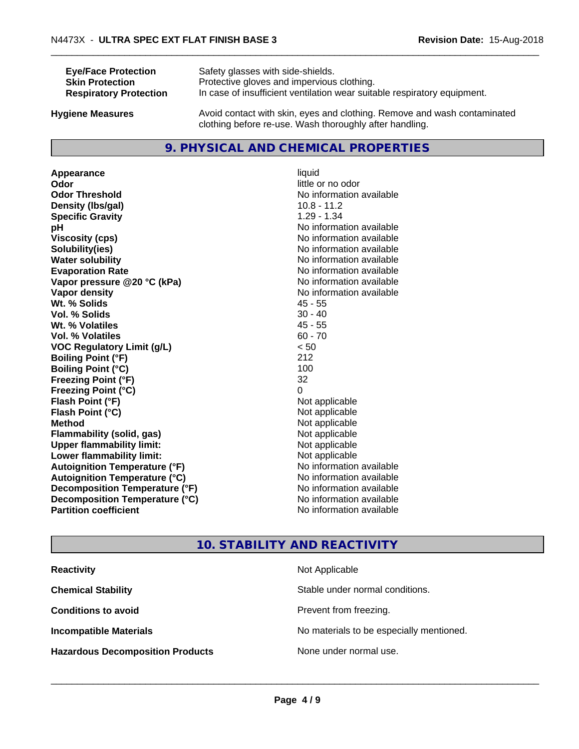| <b>Eye/Face Protection</b>    | Safety glasses with side-shields.                                        |
|-------------------------------|--------------------------------------------------------------------------|
| <b>Skin Protection</b>        | Protective gloves and impervious clothing.                               |
| <b>Respiratory Protection</b> | In case of insufficient ventilation wear suitable respiratory equipment. |
| Ivaiono Moscuros              | Avoid contact with skin, aves and clothing. Remove and wash contaminated |

**Hygiene Measures** Avoid contact with skin, eyes and clothing. Remove and wash contaminated clothing before re-use. Wash thoroughly after handling.

## **9. PHYSICAL AND CHEMICAL PROPERTIES**

**Appearance** liquid **Odor** little or no odor **Odor Threshold** No information available **Density (lbs/gal)** 10.8 - 11.2 **Specific Gravity** 1.29 - 1.34 **pH** No information available **Viscosity (cps)** No information available<br> **Solubility (ies)** No information available<br>
No information available **Water solubility** No information available **Evaporation Rate Evaporation Rate No information available Vapor pressure @20 °C (kPa)** No information available **Vapor density** No information available **Wt. % Solids** 45 - 55 **Vol. % Solids Wt. % Volatiles** 45 - 55 **Vol. % Volatiles** 60 - 70 **VOC Regulatory Limit (g/L)** < 50 **Boiling Point (°F)** 212 **Boiling Point**  $(^{\circ}C)$  100 **Freezing Point (°F)** 32 **Freezing Point (°C)** 0 **Flash Point (°F)** Not applicable **Flash Point (°C)** Not applicable **Method** Not applicable<br> **Flammability (solid, gas)** Not applicable Not applicable **Flammability** (solid, gas) **Upper flammability limit:**<br> **Lower flammability limit:** Not applicable Not applicable **Lower flammability limit:**<br> **Autoignition Temperature (°F)** Not applicable havailable **Autoignition Temperature (°F) Autoignition Temperature (°C)** No information available **Decomposition Temperature (°F)** No information available **Decomposition Temperature (°C)**<br> **Partition coefficient**<br> **Partition coefficient**<br> **Partition coefficient** 

**Solubility(ies)** No information available **No information available** 

## **10. STABILITY AND REACTIVITY**

| <b>Reactivity</b>                       | Not Applicable                           |
|-----------------------------------------|------------------------------------------|
| <b>Chemical Stability</b>               | Stable under normal conditions.          |
| <b>Conditions to avoid</b>              | Prevent from freezing.                   |
| <b>Incompatible Materials</b>           | No materials to be especially mentioned. |
| <b>Hazardous Decomposition Products</b> | None under normal use.                   |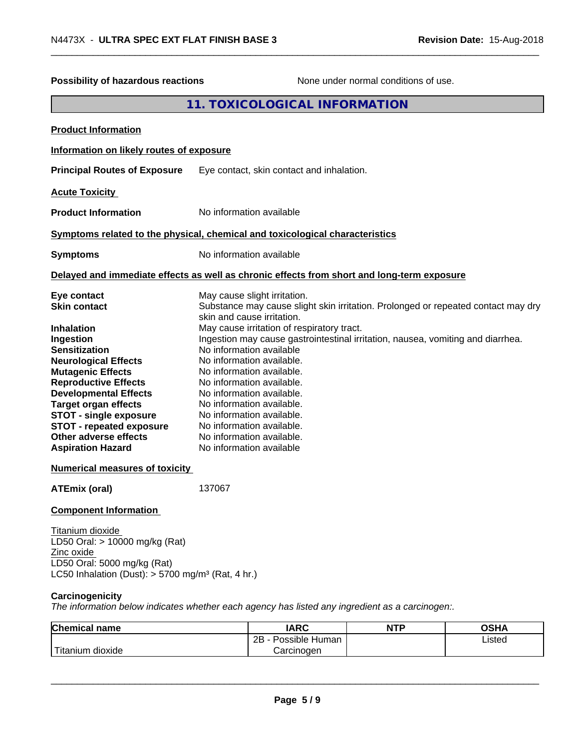| Possibility of hazardous reactions                                                                                                                                                                                                                                                                                                                                             |        |                                                                                                                                                                                                                                                                                                                                                                                                                                                                                             | None under normal conditions of use. |                                                                                   |
|--------------------------------------------------------------------------------------------------------------------------------------------------------------------------------------------------------------------------------------------------------------------------------------------------------------------------------------------------------------------------------|--------|---------------------------------------------------------------------------------------------------------------------------------------------------------------------------------------------------------------------------------------------------------------------------------------------------------------------------------------------------------------------------------------------------------------------------------------------------------------------------------------------|--------------------------------------|-----------------------------------------------------------------------------------|
|                                                                                                                                                                                                                                                                                                                                                                                |        | 11. TOXICOLOGICAL INFORMATION                                                                                                                                                                                                                                                                                                                                                                                                                                                               |                                      |                                                                                   |
| <b>Product Information</b>                                                                                                                                                                                                                                                                                                                                                     |        |                                                                                                                                                                                                                                                                                                                                                                                                                                                                                             |                                      |                                                                                   |
| Information on likely routes of exposure                                                                                                                                                                                                                                                                                                                                       |        |                                                                                                                                                                                                                                                                                                                                                                                                                                                                                             |                                      |                                                                                   |
| <b>Principal Routes of Exposure</b>                                                                                                                                                                                                                                                                                                                                            |        | Eye contact, skin contact and inhalation.                                                                                                                                                                                                                                                                                                                                                                                                                                                   |                                      |                                                                                   |
| <b>Acute Toxicity</b>                                                                                                                                                                                                                                                                                                                                                          |        |                                                                                                                                                                                                                                                                                                                                                                                                                                                                                             |                                      |                                                                                   |
| <b>Product Information</b>                                                                                                                                                                                                                                                                                                                                                     |        | No information available                                                                                                                                                                                                                                                                                                                                                                                                                                                                    |                                      |                                                                                   |
| Symptoms related to the physical, chemical and toxicological characteristics                                                                                                                                                                                                                                                                                                   |        |                                                                                                                                                                                                                                                                                                                                                                                                                                                                                             |                                      |                                                                                   |
| <b>Symptoms</b>                                                                                                                                                                                                                                                                                                                                                                |        | No information available                                                                                                                                                                                                                                                                                                                                                                                                                                                                    |                                      |                                                                                   |
| Delayed and immediate effects as well as chronic effects from short and long-term exposure                                                                                                                                                                                                                                                                                     |        |                                                                                                                                                                                                                                                                                                                                                                                                                                                                                             |                                      |                                                                                   |
| Eye contact<br><b>Skin contact</b><br><b>Inhalation</b><br>Ingestion<br><b>Sensitization</b><br><b>Neurological Effects</b><br><b>Mutagenic Effects</b><br><b>Reproductive Effects</b><br><b>Developmental Effects</b><br><b>Target organ effects</b><br><b>STOT - single exposure</b><br><b>STOT - repeated exposure</b><br>Other adverse effects<br><b>Aspiration Hazard</b> |        | May cause slight irritation.<br>skin and cause irritation.<br>May cause irritation of respiratory tract.<br>Ingestion may cause gastrointestinal irritation, nausea, vomiting and diarrhea.<br>No information available<br>No information available.<br>No information available.<br>No information available.<br>No information available.<br>No information available.<br>No information available.<br>No information available.<br>No information available.<br>No information available |                                      | Substance may cause slight skin irritation. Prolonged or repeated contact may dry |
| <b>Numerical measures of toxicity</b>                                                                                                                                                                                                                                                                                                                                          |        |                                                                                                                                                                                                                                                                                                                                                                                                                                                                                             |                                      |                                                                                   |
| <b>ATEmix (oral)</b>                                                                                                                                                                                                                                                                                                                                                           | 137067 |                                                                                                                                                                                                                                                                                                                                                                                                                                                                                             |                                      |                                                                                   |
| <b>Component Information</b><br>Titanium dioxide<br>LD50 Oral: > 10000 mg/kg (Rat)<br>Zinc oxide<br>LD50 Oral: 5000 mg/kg (Rat)<br>LC50 Inhalation (Dust): $> 5700$ mg/m <sup>3</sup> (Rat, 4 hr.)<br>Carcinogenicity<br>The information below indicates whether each agency has listed any ingredient as a carcinogen:.                                                       |        |                                                                                                                                                                                                                                                                                                                                                                                                                                                                                             |                                      |                                                                                   |
| <b>Chemical name</b>                                                                                                                                                                                                                                                                                                                                                           |        | <b>IARC</b>                                                                                                                                                                                                                                                                                                                                                                                                                                                                                 | <b>NTP</b>                           | <b>OSHA</b>                                                                       |
| Titanium dioxide                                                                                                                                                                                                                                                                                                                                                               |        | 2B - Possible Human<br>Carcinogen                                                                                                                                                                                                                                                                                                                                                                                                                                                           |                                      | Listed                                                                            |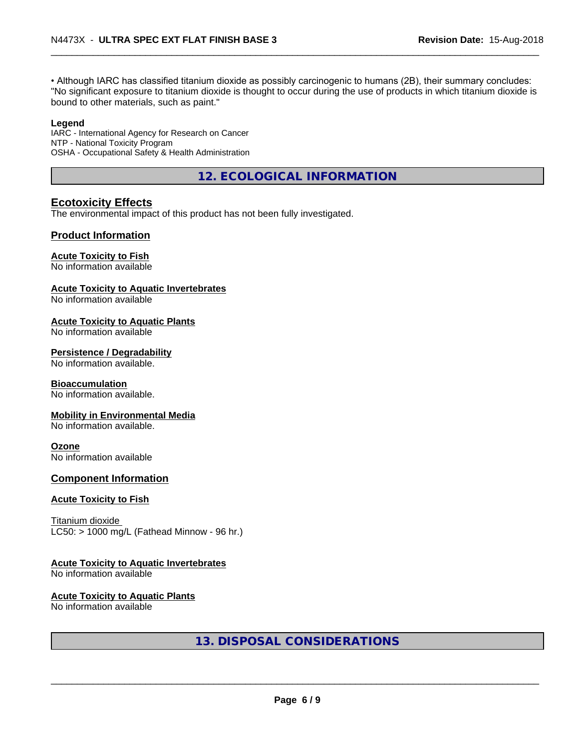• Although IARC has classified titanium dioxide as possibly carcinogenic to humans (2B), their summary concludes: "No significant exposure to titanium dioxide is thought to occur during the use of products in which titanium dioxide is bound to other materials, such as paint."

#### **Legend**

IARC - International Agency for Research on Cancer NTP - National Toxicity Program OSHA - Occupational Safety & Health Administration

**12. ECOLOGICAL INFORMATION**

## **Ecotoxicity Effects**

The environmental impact of this product has not been fully investigated.

#### **Product Information**

#### **Acute Toxicity to Fish**

No information available

#### **Acute Toxicity to Aquatic Invertebrates**

No information available

#### **Acute Toxicity to Aquatic Plants**

No information available

#### **Persistence / Degradability**

No information available.

#### **Bioaccumulation**

No information available.

#### **Mobility in Environmental Media**

No information available.

#### **Ozone**

No information available

#### **Component Information**

#### **Acute Toxicity to Fish**

Titanium dioxide  $LC50:$  > 1000 mg/L (Fathead Minnow - 96 hr.)

#### **Acute Toxicity to Aquatic Invertebrates**

No information available

#### **Acute Toxicity to Aquatic Plants**

No information available

## **13. DISPOSAL CONSIDERATIONS**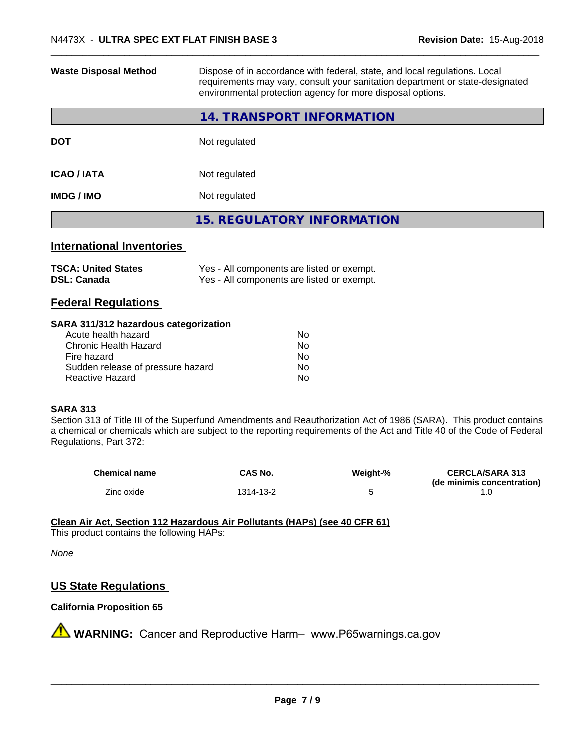| <b>Waste Disposal Method</b>                                                                                           | Dispose of in accordance with federal, state, and local regulations. Local<br>requirements may vary, consult your sanitation department or state-designated<br>environmental protection agency for more disposal options.                                               |  |  |  |
|------------------------------------------------------------------------------------------------------------------------|-------------------------------------------------------------------------------------------------------------------------------------------------------------------------------------------------------------------------------------------------------------------------|--|--|--|
|                                                                                                                        | <b>14. TRANSPORT INFORMATION</b>                                                                                                                                                                                                                                        |  |  |  |
| <b>DOT</b>                                                                                                             | Not regulated                                                                                                                                                                                                                                                           |  |  |  |
| <b>ICAO / IATA</b>                                                                                                     | Not regulated                                                                                                                                                                                                                                                           |  |  |  |
| <b>IMDG / IMO</b>                                                                                                      | Not regulated                                                                                                                                                                                                                                                           |  |  |  |
|                                                                                                                        | <b>15. REGULATORY INFORMATION</b>                                                                                                                                                                                                                                       |  |  |  |
| <b>International Inventories</b>                                                                                       |                                                                                                                                                                                                                                                                         |  |  |  |
| <b>TSCA: United States</b><br><b>DSL: Canada</b>                                                                       | Yes - All components are listed or exempt.<br>Yes - All components are listed or exempt.                                                                                                                                                                                |  |  |  |
| <b>Federal Regulations</b>                                                                                             |                                                                                                                                                                                                                                                                         |  |  |  |
| SARA 311/312 hazardous categorization                                                                                  |                                                                                                                                                                                                                                                                         |  |  |  |
| Acute health hazard                                                                                                    | No                                                                                                                                                                                                                                                                      |  |  |  |
|                                                                                                                        |                                                                                                                                                                                                                                                                         |  |  |  |
|                                                                                                                        |                                                                                                                                                                                                                                                                         |  |  |  |
|                                                                                                                        |                                                                                                                                                                                                                                                                         |  |  |  |
| <b>Chronic Health Hazard</b><br>Fire hazard<br>Sudden release of pressure hazard<br>Reactive Hazard<br><b>SARA 313</b> | No.<br>No.<br>No.<br>No<br>Section 313 of Title III of the Superfund Amendments and Reauthorization Act of 1986 (SARA). This product contains<br>a chemical or chemicals which are subject to the reporting requirements of the Act and Title 40 of the Code of Federal |  |  |  |
| Regulations, Part 372:                                                                                                 |                                                                                                                                                                                                                                                                         |  |  |  |

| <b>Chemical name</b> | CAS No.  | Weight-% | <b>CERCLA/SARA 313</b>     |
|----------------------|----------|----------|----------------------------|
|                      |          |          | (de minimis concentration) |
| Zinc oxide           | 314-13-2 |          |                            |

**Clean Air Act,Section 112 Hazardous Air Pollutants (HAPs) (see 40 CFR 61)** This product contains the following HAPs:

*None*

# **US State Regulations**

## **California Proposition 65**

**A** WARNING: Cancer and Reproductive Harm– www.P65warnings.ca.gov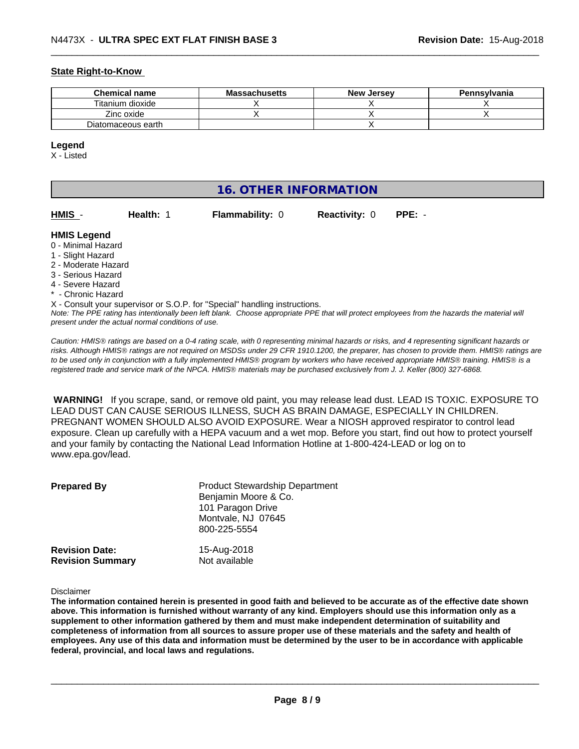#### **State Right-to-Know**

| <b>Chemical name</b> | <b>Massachusetts</b> | <b>New Jersey</b> | Pennsylvania |
|----------------------|----------------------|-------------------|--------------|
| Titanium dioxide     |                      |                   |              |
| Zinc oxide           |                      |                   |              |
| Diatomaceous earth   |                      |                   |              |

#### **Legend**

X - Listed

## **16. OTHER INFORMATION HMIS** - **Health:** 1 **Flammability:** 0 **Reactivity:** 0 **PPE:** - **HMIS Legend** 0 - Minimal Hazard 1 - Slight Hazard 2 - Moderate Hazard 3 - Serious Hazard 4 - Severe Hazard \* - Chronic Hazard X - Consult your supervisor or S.O.P. for "Special" handling instructions.

*Note: The PPE rating has intentionally been left blank. Choose appropriate PPE that will protect employees from the hazards the material will present under the actual normal conditions of use.*

*Caution: HMISÒ ratings are based on a 0-4 rating scale, with 0 representing minimal hazards or risks, and 4 representing significant hazards or risks. Although HMISÒ ratings are not required on MSDSs under 29 CFR 1910.1200, the preparer, has chosen to provide them. HMISÒ ratings are to be used only in conjunction with a fully implemented HMISÒ program by workers who have received appropriate HMISÒ training. HMISÒ is a registered trade and service mark of the NPCA. HMISÒ materials may be purchased exclusively from J. J. Keller (800) 327-6868.*

 **WARNING!** If you scrape, sand, or remove old paint, you may release lead dust. LEAD IS TOXIC. EXPOSURE TO LEAD DUST CAN CAUSE SERIOUS ILLNESS, SUCH AS BRAIN DAMAGE, ESPECIALLY IN CHILDREN. PREGNANT WOMEN SHOULD ALSO AVOID EXPOSURE.Wear a NIOSH approved respirator to control lead exposure. Clean up carefully with a HEPA vacuum and a wet mop. Before you start, find out how to protect yourself and your family by contacting the National Lead Information Hotline at 1-800-424-LEAD or log on to www.epa.gov/lead.

| <b>Prepared By</b>                               | <b>Product Stewardship Department</b><br>Benjamin Moore & Co.<br>101 Paragon Drive<br>Montvale, NJ 07645<br>800-225-5554 |  |
|--------------------------------------------------|--------------------------------------------------------------------------------------------------------------------------|--|
| <b>Revision Date:</b><br><b>Revision Summary</b> | 15-Aug-2018<br>Not available                                                                                             |  |

Disclaimer

The information contained herein is presented in good faith and believed to be accurate as of the effective date shown above. This information is furnished without warranty of any kind. Employers should use this information only as a **supplement to other information gathered by them and must make independent determination of suitability and** completeness of information from all sources to assure proper use of these materials and the safety and health of employees. Any use of this data and information must be determined by the user to be in accordance with applicable **federal, provincial, and local laws and regulations.**